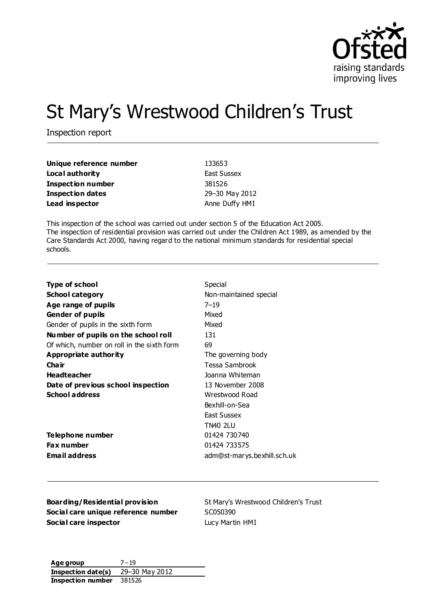

# St Mary's Wrestwood Children's Trust

Inspection report

| Unique reference number | 133653             |
|-------------------------|--------------------|
| Local authority         | <b>East Sussex</b> |
| Inspection number       | 381526             |
| <b>Inspection dates</b> | 29-30 May 2012     |
| Lead inspector          | Anne Duffy HMI     |

This inspection of the school was carried out under section 5 of the Education Act 2005. The inspection of residential provision was carried out under the Children Act 1989, as amended by the Care Standards Act 2000, having regard to the national minimum standards for residential special schools.

| <b>Type of school</b>                      | Special                     |
|--------------------------------------------|-----------------------------|
| School category                            | Non-maintained special      |
| Age range of pupils                        | $7 - 19$                    |
| <b>Gender of pupils</b>                    | Mixed                       |
| Gender of pupils in the sixth form         | Mixed                       |
| Number of pupils on the school roll        | 131                         |
| Of which, number on roll in the sixth form | 69                          |
| Appropriate authority                      | The governing body          |
| Cha ir                                     | Tessa Sambrook              |
| Headteacher                                | Joanna Whiteman             |
| Date of previous school inspection         | 13 November 2008            |
| <b>School address</b>                      | Wrestwood Road              |
|                                            | Bexhill-on-Sea              |
|                                            | East Sussex                 |
|                                            | TN40 2LU                    |
| Telephone number                           | 01424 730740                |
| <b>Fax number</b>                          | 01424 733575                |
| <b>Email address</b>                       | adm@st-marys.bexhill.sch.uk |

**Boarding/Residential provision** St Mary's Wrestwood Children's Trust **Social care unique reference number** SC050390 **Social care inspector Lucy Martin HMI** 

**Age group** 7−19 **Inspection date(s)** 29–30 May 2012 **Inspection number** 381526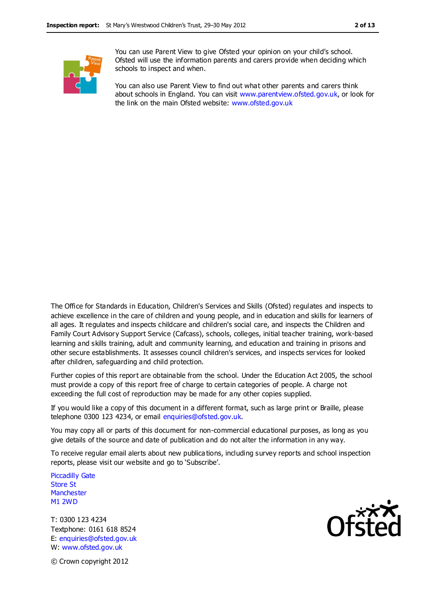

You can use Parent View to give Ofsted your opinion on your child's school. Ofsted will use the information parents and carers provide when deciding which schools to inspect and when.

You can also use Parent View to find out what other parents and carers think about schools in England. You can visit [www.parentview.ofsted.gov.uk,](http://www.parentview.ofsted.gov.uk/) or look for the link on the main Ofsted website: [www.ofsted.gov.uk](http://www.ofsted.gov.uk/)

The Office for Standards in Education, Children's Services and Skills (Ofsted) regulates and inspects to achieve excellence in the care of children and young people, and in education and skills for learners of all ages. It regulates and inspects childcare and children's social care, and inspects the Children and Family Court Advisory Support Service (Cafcass), schools, colleges, initial teacher training, work-based learning and skills training, adult and community learning, and education and training in prisons and other secure establishments. It assesses council children's services, and inspects services for looked after children, safeguarding and child protection.

Further copies of this report are obtainable from the school. Under the Education Act 2005, the school must provide a copy of this report free of charge to certain categories of people. A charge not exceeding the full cost of reproduction may be made for any other copies supplied.

If you would like a copy of this document in a different format, such as large print or Braille, please telephone 0300 123 4234, or email enquiries@ofsted.gov.uk.

You may copy all or parts of this document for non-commercial educational purposes, as long as you give details of the source and date of publication and do not alter the information in any way.

To receive regular email alerts about new publica tions, including survey reports and school inspection reports, please visit our website and go to 'Subscribe'.

Piccadilly Gate Store St **Manchester** M1 2WD

T: 0300 123 4234 Textphone: 0161 618 8524 E: enquiries@ofsted.gov.uk W: www.ofsted.gov.uk



© Crown copyright 2012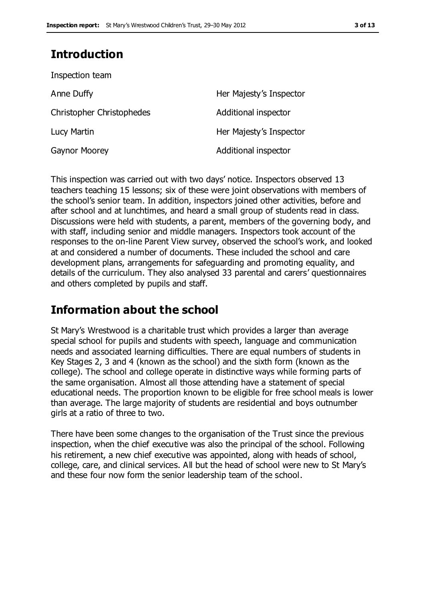## **Introduction**

| Her Majesty's Inspector |
|-------------------------|
| Additional inspector    |
| Her Majesty's Inspector |
| Additional inspector    |
|                         |

This inspection was carried out with two days' notice. Inspectors observed 13 teachers teaching 15 lessons; six of these were joint observations with members of the school's senior team. In addition, inspectors joined other activities, before and after school and at lunchtimes, and heard a small group of students read in class. Discussions were held with students, a parent, members of the governing body, and with staff, including senior and middle managers. Inspectors took account of the responses to the on-line Parent View survey, observed the school's work, and looked at and considered a number of documents. These included the school and care development plans, arrangements for safeguarding and promoting equality, and details of the curriculum. They also analysed 33 parental and carers' questionnaires and others completed by pupils and staff.

## **Information about the school**

St Mary's Wrestwood is a charitable trust which provides a larger than average special school for pupils and students with speech, language and communication needs and associated learning difficulties. There are equal numbers of students in Key Stages 2, 3 and 4 (known as the school) and the sixth form (known as the college). The school and college operate in distinctive ways while forming parts of the same organisation. Almost all those attending have a statement of special educational needs. The proportion known to be eligible for free school meals is lower than average. The large majority of students are residential and boys outnumber girls at a ratio of three to two.

There have been some changes to the organisation of the Trust since the previous inspection, when the chief executive was also the principal of the school. Following his retirement, a new chief executive was appointed, along with heads of school, college, care, and clinical services. All but the head of school were new to St Mary's and these four now form the senior leadership team of the school.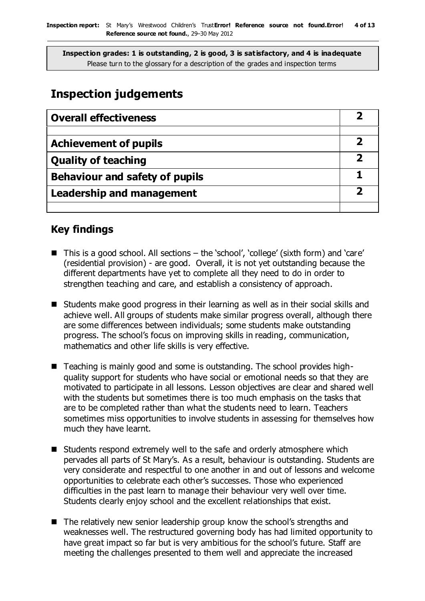## **Inspection judgements**

| <b>Overall effectiveness</b>          |  |
|---------------------------------------|--|
|                                       |  |
| <b>Achievement of pupils</b>          |  |
| <b>Quality of teaching</b>            |  |
| <b>Behaviour and safety of pupils</b> |  |
| <b>Leadership and management</b>      |  |
|                                       |  |

## **Key findings**

- This is a good school. All sections the 'school', 'college' (sixth form) and 'care' (residential provision) - are good. Overall, it is not yet outstanding because the different departments have yet to complete all they need to do in order to strengthen teaching and care, and establish a consistency of approach.
- Students make good progress in their learning as well as in their social skills and achieve well. All groups of students make similar progress overall, although there are some differences between individuals; some students make outstanding progress. The school's focus on improving skills in reading, communication, mathematics and other life skills is very effective.
- Teaching is mainly good and some is outstanding. The school provides highquality support for students who have social or emotional needs so that they are motivated to participate in all lessons. Lesson objectives are clear and shared well with the students but sometimes there is too much emphasis on the tasks that are to be completed rather than what the students need to learn. Teachers sometimes miss opportunities to involve students in assessing for themselves how much they have learnt.
- Students respond extremely well to the safe and orderly atmosphere which pervades all parts of St Mary's. As a result, behaviour is outstanding. Students are very considerate and respectful to one another in and out of lessons and welcome opportunities to celebrate each other's successes. Those who experienced difficulties in the past learn to manage their behaviour very well over time. Students clearly enjoy school and the excellent relationships that exist.
- The relatively new senior leadership group know the school's strengths and weaknesses well. The restructured governing body has had limited opportunity to have great impact so far but is very ambitious for the school's future. Staff are meeting the challenges presented to them well and appreciate the increased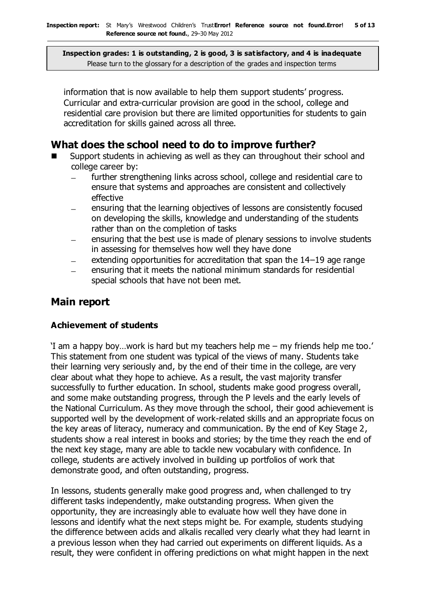information that is now available to help them support students' progress. Curricular and extra-curricular provision are good in the school, college and residential care provision but there are limited opportunities for students to gain accreditation for skills gained across all three.

## **What does the school need to do to improve further?**

- Support students in achieving as well as they can throughout their school and college career by:
	- further strengthening links across school, college and residential care to ensure that systems and approaches are consistent and collectively effective
	- ensuring that the learning objectives of lessons are consistently focused on developing the skills, knowledge and understanding of the students rather than on the completion of tasks
	- ensuring that the best use is made of plenary sessions to involve students in assessing for themselves how well they have done
	- extending opportunities for accreditation that span the 14–19 age range
	- ensuring that it meets the national minimum standards for residential special schools that have not been met.

## **Main report**

### **Achievement of students**

'I am a happy boy…work is hard but my teachers help me – my friends help me too.' This statement from one student was typical of the views of many. Students take their learning very seriously and, by the end of their time in the college, are very clear about what they hope to achieve. As a result, the vast majority transfer successfully to further education. In school, students make good progress overall, and some make outstanding progress, through the P levels and the early levels of the National Curriculum. As they move through the school, their good achievement is supported well by the development of work-related skills and an appropriate focus on the key areas of literacy, numeracy and communication. By the end of Key Stage 2, students show a real interest in books and stories; by the time they reach the end of the next key stage, many are able to tackle new vocabulary with confidence. In college, students are actively involved in building up portfolios of work that demonstrate good, and often outstanding, progress.

In lessons, students generally make good progress and, when challenged to try different tasks independently, make outstanding progress. When given the opportunity, they are increasingly able to evaluate how well they have done in lessons and identify what the next steps might be. For example, students studying the difference between acids and alkalis recalled very clearly what they had learnt in a previous lesson when they had carried out experiments on different liquids. As a result, they were confident in offering predictions on what might happen in the next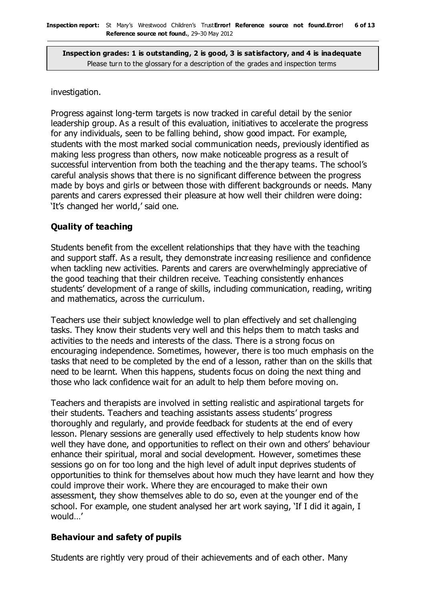#### investigation.

Progress against long-term targets is now tracked in careful detail by the senior leadership group. As a result of this evaluation, initiatives to accelerate the progress for any individuals, seen to be falling behind, show good impact. For example, students with the most marked social communication needs, previously identified as making less progress than others, now make noticeable progress as a result of successful intervention from both the teaching and the therapy teams. The school's careful analysis shows that there is no significant difference between the progress made by boys and girls or between those with different backgrounds or needs. Many parents and carers expressed their pleasure at how well their children were doing: 'It's changed her world,' said one.

#### **Quality of teaching**

Students benefit from the excellent relationships that they have with the teaching and support staff. As a result, they demonstrate increasing resilience and confidence when tackling new activities. Parents and carers are overwhelmingly appreciative of the good teaching that their children receive. Teaching consistently enhances students' development of a range of skills, including communication, reading, writing and mathematics, across the curriculum.

Teachers use their subject knowledge well to plan effectively and set challenging tasks. They know their students very well and this helps them to match tasks and activities to the needs and interests of the class. There is a strong focus on encouraging independence. Sometimes, however, there is too much emphasis on the tasks that need to be completed by the end of a lesson, rather than on the skills that need to be learnt. When this happens, students focus on doing the next thing and those who lack confidence wait for an adult to help them before moving on.

Teachers and therapists are involved in setting realistic and aspirational targets for their students. Teachers and teaching assistants assess students' progress thoroughly and regularly, and provide feedback for students at the end of every lesson. Plenary sessions are generally used effectively to help students know how well they have done, and opportunities to reflect on their own and others' behaviour enhance their spiritual, moral and social development. However, sometimes these sessions go on for too long and the high level of adult input deprives students of opportunities to think for themselves about how much they have learnt and how they could improve their work. Where they are encouraged to make their own assessment, they show themselves able to do so, even at the younger end of the school. For example, one student analysed her art work saying, 'If I did it again, I would…'

#### **Behaviour and safety of pupils**

Students are rightly very proud of their achievements and of each other. Many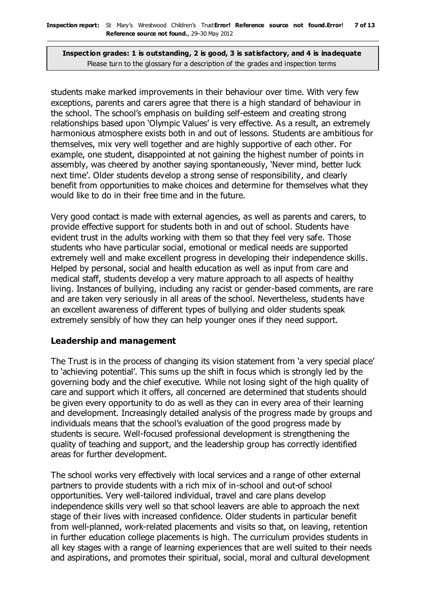students make marked improvements in their behaviour over time. With very few exceptions, parents and carers agree that there is a high standard of behaviour in the school. The school's emphasis on building self-esteem and creating strong relationships based upon 'Olympic Values' is very effective. As a result, an extremely harmonious atmosphere exists both in and out of lessons. Students are ambitious for themselves, mix very well together and are highly supportive of each other. For example, one student, disappointed at not gaining the highest number of points in assembly, was cheered by another saying spontaneously, 'Never mind, better luck next time'. Older students develop a strong sense of responsibility, and clearly benefit from opportunities to make choices and determine for themselves what they would like to do in their free time and in the future.

Very good contact is made with external agencies, as well as parents and carers, to provide effective support for students both in and out of school. Students have evident trust in the adults working with them so that they feel very safe. Those students who have particular social, emotional or medical needs are supported extremely well and make excellent progress in developing their independence skills. Helped by personal, social and health education as well as input from care and medical staff, students develop a very mature approach to all aspects of healthy living. Instances of bullying, including any racist or gender-based comments, are rare and are taken very seriously in all areas of the school. Nevertheless, students have an excellent awareness of different types of bullying and older students speak extremely sensibly of how they can help younger ones if they need support.

#### **Leadership and management**

The Trust is in the process of changing its vision statement from 'a very special place' to 'achieving potential'. This sums up the shift in focus which is strongly led by the governing body and the chief executive. While not losing sight of the high quality of care and support which it offers, all concerned are determined that students should be given every opportunity to do as well as they can in every area of their learning and development. Increasingly detailed analysis of the progress made by groups and individuals means that the school's evaluation of the good progress made by students is secure. Well-focused professional development is strengthening the quality of teaching and support, and the leadership group has correctly identified areas for further development.

The school works very effectively with local services and a range of other external partners to provide students with a rich mix of in-school and out-of school opportunities. Very well-tailored individual, travel and care plans develop independence skills very well so that school leavers are able to approach the next stage of their lives with increased confidence. Older students in particular benefit from well-planned, work-related placements and visits so that, on leaving, retention in further education college placements is high. The curriculum provides students in all key stages with a range of learning experiences that are well suited to their needs and aspirations, and promotes their spiritual, social, moral and cultural development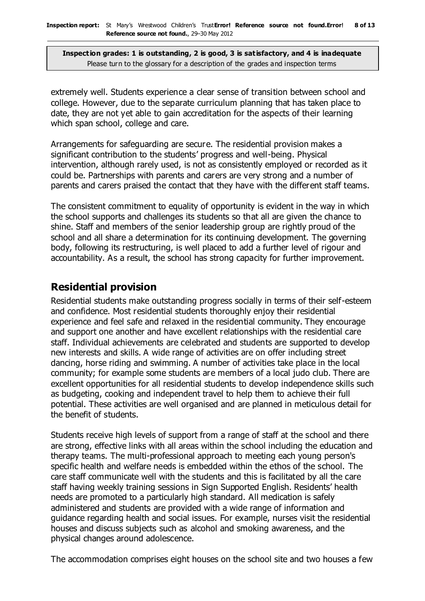extremely well. Students experience a clear sense of transition between school and college. However, due to the separate curriculum planning that has taken place to date, they are not yet able to gain accreditation for the aspects of their learning which span school, college and care.

Arrangements for safeguarding are secure. The residential provision makes a significant contribution to the students' progress and well-being. Physical intervention, although rarely used, is not as consistently employed or recorded as it could be. Partnerships with parents and carers are very strong and a number of parents and carers praised the contact that they have with the different staff teams.

The consistent commitment to equality of opportunity is evident in the way in which the school supports and challenges its students so that all are given the chance to shine. Staff and members of the senior leadership group are rightly proud of the school and all share a determination for its continuing development. The governing body, following its restructuring, is well placed to add a further level of rigour and accountability. As a result, the school has strong capacity for further improvement.

## **Residential provision**

Residential students make outstanding progress socially in terms of their self-esteem and confidence. Most residential students thoroughly enjoy their residential experience and feel safe and relaxed in the residential community. They encourage and support one another and have excellent relationships with the residential care staff. Individual achievements are celebrated and students are supported to develop new interests and skills. A wide range of activities are on offer including street dancing, horse riding and swimming. A number of activities take place in the local community; for example some students are members of a local judo club. There are excellent opportunities for all residential students to develop independence skills such as budgeting, cooking and independent travel to help them to achieve their full potential. These activities are well organised and are planned in meticulous detail for the benefit of students.

Students receive high levels of support from a range of staff at the school and there are strong, effective links with all areas within the school including the education and therapy teams. The multi-professional approach to meeting each young person's specific health and welfare needs is embedded within the ethos of the school. The care staff communicate well with the students and this is facilitated by all the care staff having weekly training sessions in Sign Supported English. Residents' health needs are promoted to a particularly high standard. All medication is safely administered and students are provided with a wide range of information and guidance regarding health and social issues. For example, nurses visit the residential houses and discuss subjects such as alcohol and smoking awareness, and the physical changes around adolescence.

The accommodation comprises eight houses on the school site and two houses a few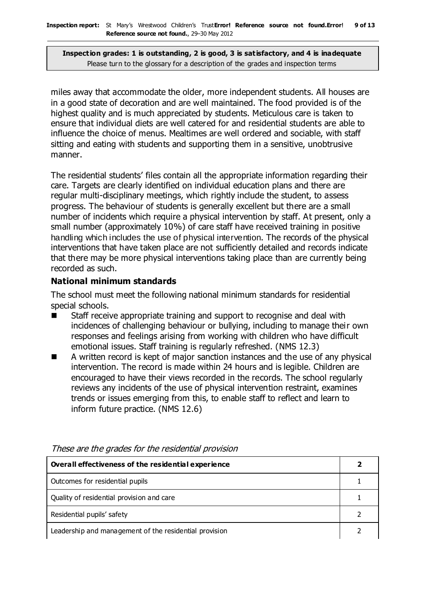miles away that accommodate the older, more independent students. All houses are in a good state of decoration and are well maintained. The food provided is of the highest quality and is much appreciated by students. Meticulous care is taken to ensure that individual diets are well catered for and residential students are able to influence the choice of menus. Mealtimes are well ordered and sociable, with staff sitting and eating with students and supporting them in a sensitive, unobtrusive manner.

The residential students' files contain all the appropriate information regarding their care. Targets are clearly identified on individual education plans and there are regular multi-disciplinary meetings, which rightly include the student, to assess progress. The behaviour of students is generally excellent but there are a small number of incidents which require a physical intervention by staff. At present, only a small number (approximately 10%) of care staff have received training in positive handling which includes the use of physical intervention. The records of the physical interventions that have taken place are not sufficiently detailed and records indicate that there may be more physical interventions taking place than are currently being recorded as such.

#### **National minimum standards**

The school must meet the following national minimum standards for residential special schools.

- Staff receive appropriate training and support to recognise and deal with incidences of challenging behaviour or bullying, including to manage their own responses and feelings arising from working with children who have difficult emotional issues. Staff training is regularly refreshed. (NMS 12.3)
- A written record is kept of major sanction instances and the use of any physical intervention. The record is made within 24 hours and is legible. Children are encouraged to have their views recorded in the records. The school regularly reviews any incidents of the use of physical intervention restraint, examines trends or issues emerging from this, to enable staff to reflect and learn to inform future practice. (NMS 12.6)

| Overall effectiveness of the residential experience    |  |
|--------------------------------------------------------|--|
| Outcomes for residential pupils                        |  |
| Quality of residential provision and care              |  |
| Residential pupils' safety                             |  |
| Leadership and management of the residential provision |  |

These are the grades for the residential provision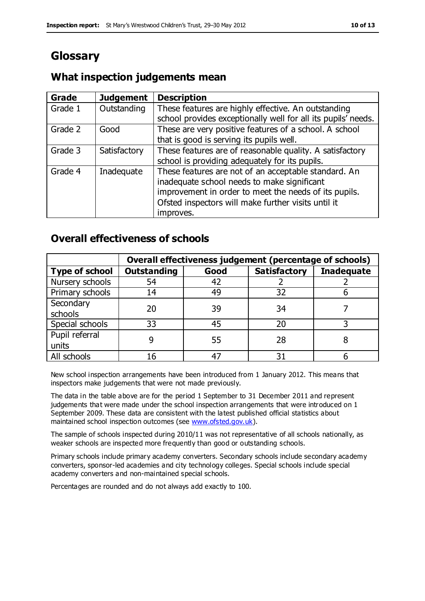## **Glossary**

| Grade   | <b>Judgement</b> | <b>Description</b>                                            |
|---------|------------------|---------------------------------------------------------------|
| Grade 1 | Outstanding      | These features are highly effective. An outstanding           |
|         |                  | school provides exceptionally well for all its pupils' needs. |
| Grade 2 | Good             | These are very positive features of a school. A school        |
|         |                  | that is good is serving its pupils well.                      |
| Grade 3 | Satisfactory     | These features are of reasonable quality. A satisfactory      |
|         |                  | school is providing adequately for its pupils.                |
| Grade 4 | Inadequate       | These features are not of an acceptable standard. An          |
|         |                  | inadequate school needs to make significant                   |
|         |                  | improvement in order to meet the needs of its pupils.         |
|         |                  | Ofsted inspectors will make further visits until it           |
|         |                  | improves.                                                     |

## **What inspection judgements mean**

### **Overall effectiveness of schools**

|                       |                    |      | Overall effectiveness judgement (percentage of schools) |                   |
|-----------------------|--------------------|------|---------------------------------------------------------|-------------------|
| <b>Type of school</b> | <b>Outstanding</b> | Good | <b>Satisfactory</b>                                     | <b>Inadequate</b> |
| Nursery schools       | 54                 | 42   |                                                         |                   |
| Primary schools       | 14                 | 49   | 32                                                      |                   |
| Secondary             | 20                 | 39   | 34                                                      |                   |
| schools               |                    |      |                                                         |                   |
| Special schools       | 33                 | 45   | 20                                                      |                   |
| Pupil referral        |                    | 55   | 28                                                      |                   |
| units                 |                    |      |                                                         |                   |
| All schools           | 16                 | 47   | 31                                                      |                   |

New school inspection arrangements have been introduced from 1 January 2012. This means that inspectors make judgements that were not made previously.

The data in the table above are for the period 1 September to 31 December 2011 and represent judgements that were made under the school inspection arrangements that were introduced on 1 September 2009. These data are consistent with the latest published official statistics about maintained school inspection outcomes (see [www.ofsted.gov.uk\)](http://www.ofsted.gov.uk/).

The sample of schools inspected during 2010/11 was not representative of all schools nationally, as weaker schools are inspected more frequently than good or outstanding schools.

Primary schools include primary academy converters. Secondary schools include secondary academy converters, sponsor-led academies and city technology colleges. Special schools include special academy converters and non-maintained special schools.

Percentages are rounded and do not always add exactly to 100.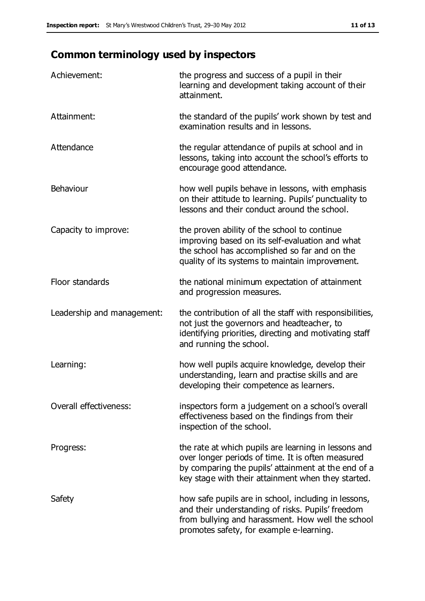## **Common terminology used by inspectors**

| Achievement:                  | the progress and success of a pupil in their<br>learning and development taking account of their<br>attainment.                                                                                                        |
|-------------------------------|------------------------------------------------------------------------------------------------------------------------------------------------------------------------------------------------------------------------|
| Attainment:                   | the standard of the pupils' work shown by test and<br>examination results and in lessons.                                                                                                                              |
| Attendance                    | the regular attendance of pupils at school and in<br>lessons, taking into account the school's efforts to<br>encourage good attendance.                                                                                |
| Behaviour                     | how well pupils behave in lessons, with emphasis<br>on their attitude to learning. Pupils' punctuality to<br>lessons and their conduct around the school.                                                              |
| Capacity to improve:          | the proven ability of the school to continue<br>improving based on its self-evaluation and what<br>the school has accomplished so far and on the<br>quality of its systems to maintain improvement.                    |
| Floor standards               | the national minimum expectation of attainment<br>and progression measures.                                                                                                                                            |
| Leadership and management:    | the contribution of all the staff with responsibilities,<br>not just the governors and headteacher, to<br>identifying priorities, directing and motivating staff<br>and running the school.                            |
| Learning:                     | how well pupils acquire knowledge, develop their<br>understanding, learn and practise skills and are<br>developing their competence as learners.                                                                       |
| <b>Overall effectiveness:</b> | inspectors form a judgement on a school's overall<br>effectiveness based on the findings from their<br>inspection of the school.                                                                                       |
| Progress:                     | the rate at which pupils are learning in lessons and<br>over longer periods of time. It is often measured<br>by comparing the pupils' attainment at the end of a<br>key stage with their attainment when they started. |
| Safety                        | how safe pupils are in school, including in lessons,<br>and their understanding of risks. Pupils' freedom<br>from bullying and harassment. How well the school<br>promotes safety, for example e-learning.             |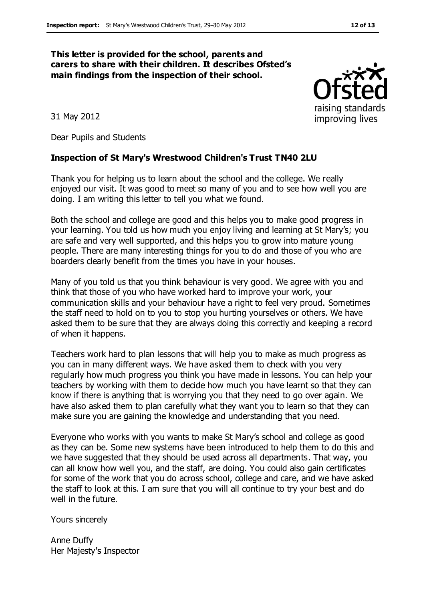#### **This letter is provided for the school, parents and carers to share with their children. It describes Ofsted's main findings from the inspection of their school.**



31 May 2012

Dear Pupils and Students

#### **Inspection of St Mary's Wrestwood Children's Trust TN40 2LU**

Thank you for helping us to learn about the school and the college. We really enjoyed our visit. It was good to meet so many of you and to see how well you are doing. I am writing this letter to tell you what we found.

Both the school and college are good and this helps you to make good progress in your learning. You told us how much you enjoy living and learning at St Mary's; you are safe and very well supported, and this helps you to grow into mature young people. There are many interesting things for you to do and those of you who are boarders clearly benefit from the times you have in your houses.

Many of you told us that you think behaviour is very good. We agree with you and think that those of you who have worked hard to improve your work, your communication skills and your behaviour have a right to feel very proud. Sometimes the staff need to hold on to you to stop you hurting yourselves or others. We have asked them to be sure that they are always doing this correctly and keeping a record of when it happens.

Teachers work hard to plan lessons that will help you to make as much progress as you can in many different ways. We have asked them to check with you very regularly how much progress you think you have made in lessons. You can help your teachers by working with them to decide how much you have learnt so that they can know if there is anything that is worrying you that they need to go over again. We have also asked them to plan carefully what they want you to learn so that they can make sure you are gaining the knowledge and understanding that you need.

Everyone who works with you wants to make St Mary's school and college as good as they can be. Some new systems have been introduced to help them to do this and we have suggested that they should be used across all departments. That way, you can all know how well you, and the staff, are doing. You could also gain certificates for some of the work that you do across school, college and care, and we have asked the staff to look at this. I am sure that you will all continue to try your best and do well in the future.

Yours sincerely

Anne Duffy Her Majesty's Inspector